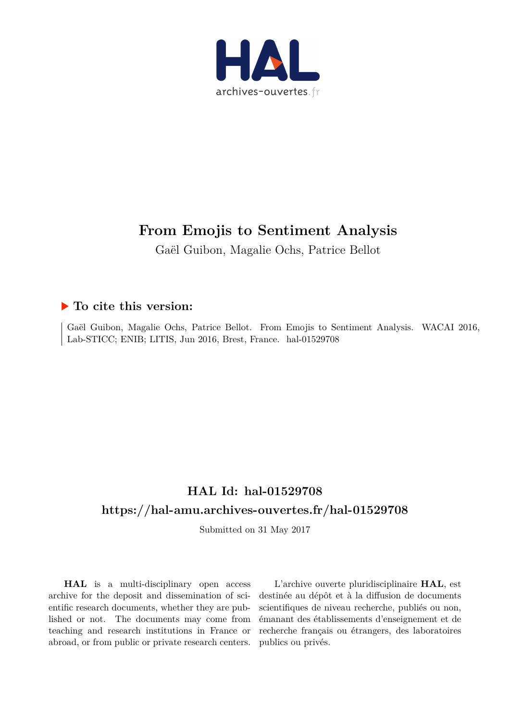

# **From Emojis to Sentiment Analysis**

Gaël Guibon, Magalie Ochs, Patrice Bellot

## **To cite this version:**

Gaël Guibon, Magalie Ochs, Patrice Bellot. From Emojis to Sentiment Analysis. WACAI 2016, Lab-STICC; ENIB; LITIS, Jun 2016, Brest, France. hal-01529708

## **HAL Id: hal-01529708 <https://hal-amu.archives-ouvertes.fr/hal-01529708>**

Submitted on 31 May 2017

**HAL** is a multi-disciplinary open access archive for the deposit and dissemination of scientific research documents, whether they are published or not. The documents may come from teaching and research institutions in France or abroad, or from public or private research centers.

L'archive ouverte pluridisciplinaire **HAL**, est destinée au dépôt et à la diffusion de documents scientifiques de niveau recherche, publiés ou non, émanant des établissements d'enseignement et de recherche français ou étrangers, des laboratoires publics ou privés.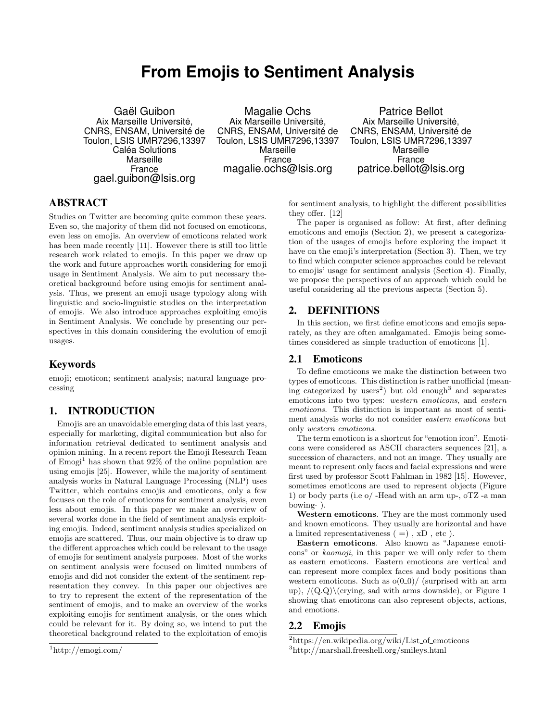## **From Emojis to Sentiment Analysis**

Gaël Guibon Aix Marseille Université, CNRS, ENSAM, Université de Toulon, LSIS UMR7296,13397 Caléa Solutions **Marseille** France gael.guibon@lsis.org

Magalie Ochs Aix Marseille Université, CNRS, ENSAM, Université de Toulon, LSIS UMR7296,13397 Marseille France magalie.ochs@lsis.org

Patrice Bellot Aix Marseille Université, CNRS, ENSAM, Université de Toulon, LSIS UMR7296,13397 Marseille France patrice.bellot@lsis.org

## **ABSTRACT**

Studies on Twitter are becoming quite common these years. Even so, the majority of them did not focused on emoticons, even less on emojis. An overview of emoticons related work has been made recently [11]. However there is still too little research work related to emojis. In this paper we draw up the work and future approaches worth considering for emoji usage in Sentiment Analysis. We aim to put necessary theoretical background before using emojis for sentiment analysis. Thus, we present an emoji usage typology along with linguistic and socio-linguistic studies on the interpretation of emojis. We also introduce approaches exploiting emojis in Sentiment Analysis. We conclude by presenting our perspectives in this domain considering the evolution of emoji usages.

## Keywords

emoji; emoticon; sentiment analysis; natural language processing

## 1. INTRODUCTION

Emojis are an unavoidable emerging data of this last years, especially for marketing, digital communication but also for information retrieval dedicated to sentiment analysis and opinion mining. In a recent report the Emoji Research Team of  $Emp$  has shown that  $92\%$  of the online population are using emojis [25]. However, while the majority of sentiment analysis works in Natural Language Processing (NLP) uses Twitter, which contains emojis and emoticons, only a few focuses on the role of emoticons for sentiment analysis, even less about emojis. In this paper we make an overview of several works done in the field of sentiment analysis exploiting emojis. Indeed, sentiment analysis studies specialized on emojis are scattered. Thus, our main objective is to draw up the different approaches which could be relevant to the usage of emojis for sentiment analysis purposes. Most of the works on sentiment analysis were focused on limited numbers of emojis and did not consider the extent of the sentiment representation they convey. In this paper our objectives are to try to represent the extent of the representation of the sentiment of emojis, and to make an overview of the works exploiting emojis for sentiment analysis, or the ones which could be relevant for it. By doing so, we intend to put the theoretical background related to the exploitation of emojis

for sentiment analysis, to highlight the different possibilities they offer. [12]

The paper is organised as follow: At first, after defining emoticons and emojis (Section 2), we present a categorization of the usages of emojis before exploring the impact it have on the emoji's interpretation (Section 3). Then, we try to find which computer science approaches could be relevant to emojis' usage for sentiment analysis (Section 4). Finally, we propose the perspectives of an approach which could be useful considering all the previous aspects (Section 5).

## 2. DEFINITIONS

In this section, we first define emoticons and emojis separately, as they are often amalgamated. Emojis being sometimes considered as simple traduction of emoticons [1].

#### 2.1 Emoticons

To define emoticons we make the distinction between two types of emoticons. This distinction is rather unofficial (meaning categorized by users<sup>2</sup>) but old enough<sup>3</sup> and separates emoticons into two types: western emoticons, and eastern emoticons. This distinction is important as most of sentiment analysis works do not consider eastern emoticons but only western emoticons.

The term emoticon is a shortcut for "emotion icon". Emoticons were considered as ASCII characters sequences [21], a succession of characters, and not an image. They usually are meant to represent only faces and facial expressions and were first used by professor Scott Fahlman in 1982 [15]. However, sometimes emoticons are used to represent objects (Figure 1) or body parts (i.e o/ -Head with an arm up-, oTZ -a man bowing- ).

Western emoticons. They are the most commonly used and known emoticons. They usually are horizontal and have a limited representativeness  $( =)$ ,  $xD$ , etc).

Eastern emoticons. Also known as "Japanese emoticons" or kaomoji, in this paper we will only refer to them as eastern emoticons. Eastern emoticons are vertical and can represent more complex faces and body positions than western emoticons. Such as  $o(0.0)$ / (surprised with an arm up),  $/(Q.Q)\ (crying, sad with arms downside), or Figure 1$ showing that emoticons can also represent objects, actions, and emotions.

## 2.2 Emojis

 $1$ http://emogi.com/

 $2$ https://en.wikipedia.org/wiki/List\_of\_emoticons

<sup>3</sup>http://marshall.freeshell.org/smileys.html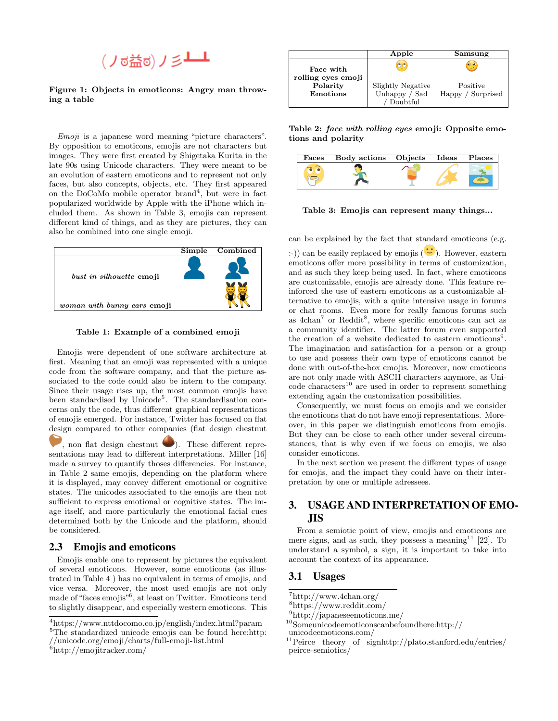

#### Figure 1: Objects in emoticons: Angry man throwing a table

Emoji is a japanese word meaning "picture characters". By opposition to emoticons, emojis are not characters but images. They were first created by Shigetaka Kurita in the late 90s using Unicode characters. They were meant to be an evolution of eastern emoticons and to represent not only faces, but also concepts, objects, etc. They first appeared on the DoCoMo mobile operator brand<sup>4</sup>, but were in fact popularized worldwide by Apple with the iPhone which included them. As shown in Table 3, emojis can represent different kind of things, and as they are pictures, they can also be combined into one single emoji.



Table 1: Example of a combined emoji

Emojis were dependent of one software architecture at first. Meaning that an emoji was represented with a unique code from the software company, and that the picture associated to the code could also be intern to the company. Since their usage rises up, the most common emojis have been standardised by Unicode<sup>5</sup>. The standardisation concerns only the code, thus different graphical representations of emojis emerged. For instance, Twitter has focused on flat design compared to other companies (flat design chestnut

, non flat design chestnut  $\bigcirc$ ). These different representations may lead to different interpretations. Miller [16] made a survey to quantify thoses differencies. For instance, in Table 2 same emojis, depending on the platform where it is displayed, may convey different emotional or cognitive states. The unicodes associated to the emojis are then not sufficient to express emotional or cognitive states. The image itself, and more particularly the emotional facial cues determined both by the Unicode and the platform, should be considered.

#### 2.3 Emojis and emoticons

Emojis enable one to represent by pictures the equivalent of several emoticons. However, some emoticons (as illustrated in Table 4 ) has no equivalent in terms of emojis, and vice versa. Moreover, the most used emojis are not only made of "faces emojis"<sup>6</sup> , at least on Twitter. Emoticons tend to slightly disappear, and especially western emoticons. This

 $6$ http://emojitracker.com/

|                                 | Apple                              | Samsung                       |
|---------------------------------|------------------------------------|-------------------------------|
| Face with<br>rolling eyes emoji | $\circ$                            | $^{\circ}$                    |
| Polarity<br>Emotions            | Slightly Negative<br>Unhappy / Sad | Positive<br>Happy / Surprised |
|                                 | Doubtful                           |                               |

Table 2: face with rolling eyes emoji: Opposite emotions and polarity

| Faces Body actions Objects Ideas Places |  |  |
|-----------------------------------------|--|--|
|                                         |  |  |

Table 3: Emojis can represent many things...

can be explained by the fact that standard emoticons (e.g.

:-)) can be easily replaced by emojis  $(\ddot{\bullet})$ . However, eastern emoticons offer more possibility in terms of customization, and as such they keep being used. In fact, where emoticons are customizable, emojis are already done. This feature reinforced the use of eastern emoticons as a customizable alternative to emojis, with a quite intensive usage in forums or chat rooms. Even more for really famous forums such as  $4chan^7$  or Reddit<sup>8</sup>, where specific emoticons can act as a community identifier. The latter forum even supported the creation of a website dedicated to eastern emoticons<sup>9</sup>. The imagination and satisfaction for a person or a group to use and possess their own type of emoticons cannot be done with out-of-the-box emojis. Moreover, now emoticons are not only made with ASCII characters anymore, as Unicode characters<sup>10</sup> are used in order to represent something extending again the customization possibilities.

Consequently, we must focus on emojis and we consider the emoticons that do not have emoji representations. Moreover, in this paper we distinguish emoticons from emojis. But they can be close to each other under several circumstances, that is why even if we focus on emojis, we also consider emoticons.

In the next section we present the different types of usage for emojis, and the impact they could have on their interpretation by one or multiple adressees.

## 3. USAGE AND INTERPRETATION OF EMO-JIS

From a semiotic point of view, emojis and emoticons are mere signs, and as such, they possess a meaning<sup>11</sup> [22]. To understand a symbol, a sign, it is important to take into account the context of its appearance.

#### 3.1 Usages

<sup>7</sup>http://www.4chan.org/

<sup>8</sup>https://www.reddit.com/

<sup>4</sup>https://www.nttdocomo.co.jp/english/index.html?param <sup>5</sup>The standardized unicode emojis can be found here:http:

<sup>//</sup>unicode.org/emoji/charts/full-emoji-list.html

<sup>9</sup>http://japaneseemoticons.me/

<sup>10</sup>Someunicodeemoticonscanbefoundhere:http://

unicodeemoticons.com/

<sup>&</sup>lt;sup>11</sup>Peirce theory of signhttp://plato.stanford.edu/entries/ peirce-semiotics/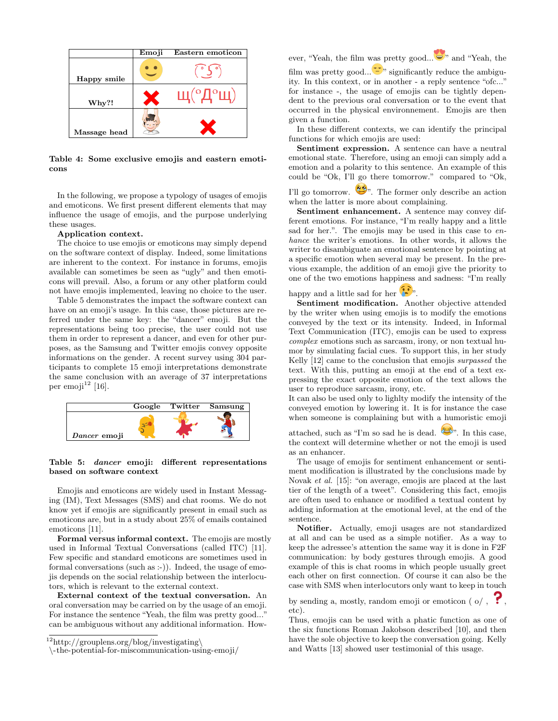

Table 4: Some exclusive emojis and eastern emoticons

In the following, we propose a typology of usages of emojis and emoticons. We first present different elements that may influence the usage of emojis, and the purpose underlying these usages.

#### Application context.

The choice to use emojis or emoticons may simply depend on the software context of display. Indeed, some limitations are inherent to the context. For instance in forums, emojis available can sometimes be seen as "ugly" and then emoticons will prevail. Also, a forum or any other platform could not have emojis implemented, leaving no choice to the user.

Table 5 demonstrates the impact the software context can have on an emoji's usage. In this case, those pictures are referred under the same key: the "dancer" emoji. But the representations being too precise, the user could not use them in order to represent a dancer, and even for other purposes, as the Samsung and Twitter emojis convey opposite informations on the gender. A recent survey using 304 participants to complete 15 emoji interpretations demonstrate the same conclusion with an average of 37 interpretations per emoji $^{12}$  [16].



#### Table 5: dancer emoji: different representations based on software context

Emojis and emoticons are widely used in Instant Messaging (IM), Text Messages (SMS) and chat rooms. We do not know yet if emojis are significantly present in email such as emoticons are, but in a study about 25% of emails contained emoticons [11].

Formal versus informal context. The emojis are mostly used in Informal Textual Conversations (called ITC) [11]. Few specific and standard emoticons are sometimes used in formal conversations (such as :-)). Indeed, the usage of emojis depends on the social relationship between the interlocutors, which is relevant to the external context.

External context of the textual conversation. An oral conversation may be carried on by the usage of an emoji. For instance the sentence "Yeah, the film was pretty good..." can be ambiguous without any additional information. However, "Yeah, the film was pretty good...  $\bullet$ " and "Yeah, the

film was pretty good...  $\mathbf{C}^n$  significantly reduce the ambiguity. In this context, or in another - a reply sentence "ofc..." for instance -, the usage of emojis can be tightly dependent to the previous oral conversation or to the event that occurred in the physical environnement. Emojis are then given a function.

In these different contexts, we can identify the principal functions for which emojis are used:

Sentiment expression. A sentence can have a neutral emotional state. Therefore, using an emoji can simply add a emotion and a polarity to this sentence. An example of this could be "Ok, I'll go there tomorrow." compared to "Ok,

I'll go tomorrow.  $\bullet\bullet$ . The former only describe an action when the latter is more about complaining.

Sentiment enhancement. A sentence may convey different emotions. For instance, "I'm really happy and a little sad for her.". The emojis may be used in this case to  $en$ hance the writer's emotions. In other words, it allows the writer to disambiguate an emotional sentence by pointing at a specific emotion when several may be present. In the previous example, the addition of an emoji give the priority to one of the two emotions happiness and sadness: "I'm really

happy and a little sad for her  $\ddot{\bullet}$ .

Sentiment modification. Another objective attended by the writer when using emojis is to modify the emotions conveyed by the text or its intensity. Indeed, in Informal Text Communication (ITC), emojis can be used to express complex emotions such as sarcasm, irony, or non textual humor by simulating facial cues. To support this, in her study Kelly [12] came to the conclusion that emojis surpassed the text. With this, putting an emoji at the end of a text expressing the exact opposite emotion of the text allows the user to reproduce sarcasm, irony, etc.

It can also be used only to lighlty modify the intensity of the conveyed emotion by lowering it. It is for instance the case when someone is complaining but with a humoristic emoji

attached, such as "I'm so sad he is dead.  $\bullet$ ". In this case, the context will determine whether or not the emoji is used as an enhancer.

The usage of emojis for sentiment enhancement or sentiment modification is illustrated by the conclusions made by Novak et al. [15]: "on average, emojis are placed at the last tier of the length of a tweet". Considering this fact, emojis are often used to enhance or modified a textual content by adding information at the emotional level, at the end of the sentence.

Notifier. Actually, emoji usages are not standardized at all and can be used as a simple notifier. As a way to keep the adressee's attention the same way it is done in F2F communication: by body gestures through emojis. A good example of this is chat rooms in which people usually greet each other on first connection. Of course it can also be the case with SMS when interlocutors only want to keep in touch

by sending a, mostly, random emoji or emoticon ( $o/$ , etc).

Thus, emojis can be used with a phatic function as one of the six functions Roman Jakobson described [10], and then have the sole objective to keep the conversation going. Kelly and Watts [13] showed user testimonial of this usage.

 $12$ http://grouplens.org/blog/investigating\

<sup>\</sup>-the-potential-for-miscommunication-using-emoji/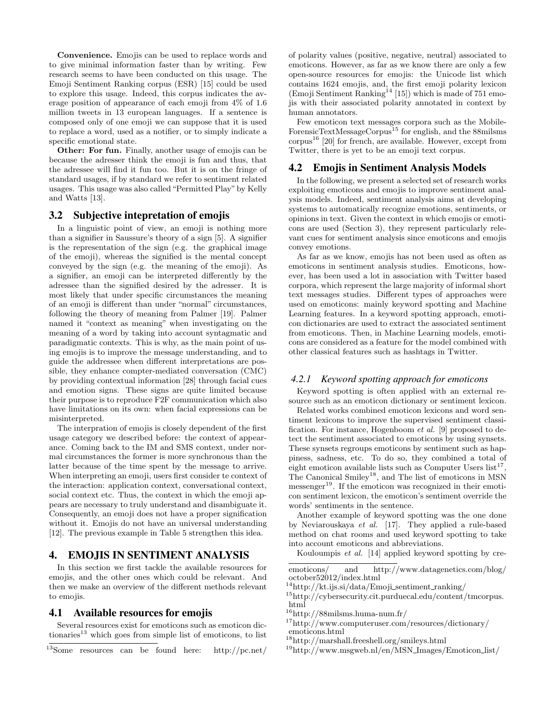Convenience. Emojis can be used to replace words and to give minimal information faster than by writing. Few research seems to have been conducted on this usage. The Emoji Sentiment Ranking corpus (ESR) [15] could be used to explore this usage. Indeed, this corpus indicates the average position of appearance of each emoji from 4% of 1.6 million tweets in 13 european languages. If a sentence is composed only of one emoji we can suppose that it is used to replace a word, used as a notifier, or to simply indicate a specific emotional state.

Other: For fun. Finally, another usage of emojis can be because the adresser think the emoji is fun and thus, that the adressee will find it fun too. But it is on the fringe of standard usages, if by standard we refer to sentiment related usages. This usage was also called "Permitted Play" by Kelly and Watts [13].

#### 3.2 Subjective intepretation of emojis

In a linguistic point of view, an emoji is nothing more than a signifier in Saussure's theory of a sign [5]. A signifier is the representation of the sign (e.g. the graphical image of the emoji), whereas the signified is the mental concept conveyed by the sign (e.g. the meaning of the emoji). As a signifier, an emoji can be interpreted differently by the adressee than the signified desired by the adresser. It is most likely that under specific circumstances the meaning of an emoji is different than under "normal" circumstances, following the theory of meaning from Palmer [19]. Palmer named it "context as meaning" when investigating on the meaning of a word by taking into account syntagmatic and paradigmatic contexts. This is why, as the main point of using emojis is to improve the message understanding, and to guide the addressee when different interpretations are possible, they enhance compter-mediated conversation (CMC) by providing contextual information [28] through facial cues and emotion signs. These signs are quite limited because their purpose is to reproduce F2F communication which also have limitations on its own: when facial expressions can be misinterpreted.

The interpration of emojis is closely dependent of the first usage category we described before: the context of appearance. Coming back to the IM and SMS context, under normal circumstances the former is more synchronous than the latter because of the time spent by the message to arrive. When interpreting an emoji, users first consider te context of the interaction: application context, conversational context, social context etc. Thus, the context in which the emoji appears are necessary to truly understand and disambiguate it. Consequently, an emoji does not have a proper signification without it. Emojis do not have an universal understanding [12]. The previous example in Table 5 strengthen this idea.

### 4. EMOJIS IN SENTIMENT ANALYSIS

In this section we first tackle the available resources for emojis, and the other ones which could be relevant. And then we make an overview of the different methods relevant to emojis.

#### 4.1 Available resources for emojis

Several resources exist for emoticons such as emoticon dictionaries<sup>13</sup> which goes from simple list of emoticons, to list of polarity values (positive, negative, neutral) associated to emoticons. However, as far as we know there are only a few open-source resources for emojis: the Unicode list which contains 1624 emojis, and, the first emoji polarity lexicon  $(Empi$  Sentiment Ranking<sup>14</sup> [15]) which is made of 751 emojis with their associated polarity annotated in context by human annotators.

Few emoticon text messages corpora such as the Mobile-ForensicTextMessageCorpus<sup>15</sup> for english, and the 88milsms corpus<sup>16</sup> [20] for french, are available. However, except from Twitter, there is yet to be an emoji text corpus.

#### 4.2 Emojis in Sentiment Analysis Models

In the following, we present a selected set of research works exploiting emoticons and emojis to improve sentiment analysis models. Indeed, sentiment analysis aims at developing systems to automatically recognize emotions, sentiments, or opinions in text. Given the context in which emojis or emoticons are used (Section 3), they represent particularly relevant cues for sentiment analysis since emoticons and emojis convey emotions.

As far as we know, emojis has not been used as often as emoticons in sentiment analysis studies. Emoticons, however, has been used a lot in association with Twitter based corpora, which represent the large majority of informal short text messages studies. Different types of approaches were used on emoticons: mainly keyword spotting and Machine Learning features. In a keyword spotting approach, emoticon dictionaries are used to extract the associated sentiment from emoticons. Then, in Machine Learning models, emoticons are considered as a feature for the model combined with other classical features such as hashtags in Twitter.

#### *4.2.1 Keyword spotting approach for emoticons*

Keyword spotting is often applied with an external resource such as an emoticon dictionary or sentiment lexicon.

Related works combined emoticon lexicons and word sentiment lexicons to improve the supervised sentiment classification. For instance, Hogenboom et al. [9] proposed to detect the sentiment associated to emoticons by using synsets. These synsets regroups emoticons by sentiment such as happiness, sadness, etc. To do so, they combined a total of eight emoticon available lists such as Computer Users  $list^{17}$ , The Canonical Smiley<sup>18</sup>, and The list of emoticons in MSN messenger<sup>19</sup>. If the emoticon was recognized in their emoticon sentiment lexicon, the emoticon's sentiment override the words' sentiments in the sentence.

Another example of keyword spotting was the one done by Neviarouskaya et al. [17]. They applied a rule-based method on chat rooms and used keyword spotting to take into account emoticons and abbreviations.

Kouloumpis et al. [14] applied keyword spotting by cre-

<sup>15</sup>http://cybersecurity.cit.purduecal.edu/content/tmcorpus. html

- <sup>17</sup>http://www.computeruser.com/resources/dictionary/ emoticons.html
- $\rm ^{18}$  http://marshall.freeshell.org/smileys.html

<sup>13</sup>Some resources can be found here: http://pc.net/

emoticons/ and http://www.datagenetics.com/blog/

october52012/index.html  $14$ http://kt.ijs.si/data/Emoji\_sentiment\_ranking/

<sup>16</sup>http://88milsms.huma-num.fr/

<sup>19</sup>http://www.msgweb.nl/en/MSN Images/Emoticon list/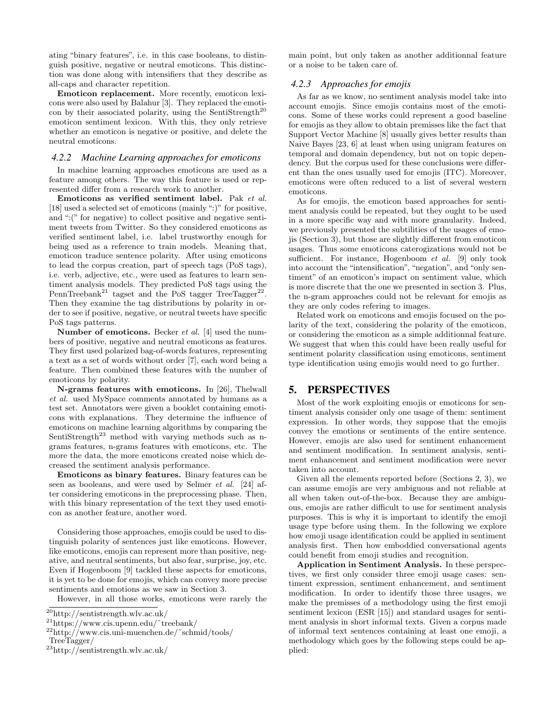ating "binary features", i.e. in this case booleans, to distinguish positive, negative or neutral emoticons. This distinction was done along with intensifiers that they describe as all-caps and character repetition.

Emoticon replacement. More recently, emoticon lexicons were also used by Balahur [3]. They replaced the emoticon by their associated polarity, using the SentiStrength<sup>20</sup> emoticon sentiment lexicon. With this, they only retrieve whether an emoticon is negative or positive, and delete the neutral emoticons.

#### *4.2.2 Machine Learning approaches for emoticons*

In machine learning approaches emoticons are used as a feature among others. The way this feature is used or represented differ from a research work to another.

Emoticons as verified sentiment label. Pak et al. [18] used a selected set of emoticons (mainly ":)" for positive, and ":(" for negative) to collect positive and negative sentiment tweets from Twitter. So they considered emoticons as verified sentiment label, i.e. label trustworthy enough for being used as a reference to train models. Meaning that, emoticon traduce sentence polarity. After using emoticons to lead the corpus creation, part of speech tags (PoS tags), i.e. verb, adjective, etc., were used as features to learn sentiment analysis models. They predicted PoS tags using the PennTreebank<sup>21</sup> tagset and the PoS tagger TreeTagger<sup>22</sup>. Then they examine the tag distributions by polarity in order to see if positive, negative, or neutral tweets have specific PoS tags patterns.

Number of emoticons. Becker et al. [4] used the numbers of positive, negative and neutral emoticons as features. They first used polarized bag-of-words features, representing a text as a set of words without order [7], each word being a feature. Then combined these features with the number of emoticons by polarity.

N-grams features with emoticons. In [26], Thelwall et al. used MySpace comments annotated by humans as a test set. Annotators were given a booklet containing emoticons with explanations. They determine the influence of emoticons on machine learning algorithms by comparing the SentiStrength<sup>23</sup> method with varying methods such as ngrams features, n-grams features with emoticons, etc. The more the data, the more emoticons created noise which decreased the sentiment analysis performance.

Emoticons as binary features. Binary features can be seen as booleans, and were used by Selmer et al. [24] after considering emoticons in the preprocessing phase. Then, with this binary representation of the text they used emoticon as another feature, another word.

Considering those approaches, emojis could be used to distinguish polarity of sentences just like emoticons. However, like emoticons, emojis can represent more than positive, negative, and neutral sentiments, but also fear, surprise, joy, etc. Even if Hogenboom [9] tackled these aspects for emoticons, it is yet to be done for emojis, which can convey more precise sentiments and emotions as we saw in Section 3.

However, in all those works, emoticons were rarely the

main point, but only taken as another additionnal feature or a noise to be taken care of.

#### *4.2.3 Approaches for emojis*

As far as we know, no sentiment analysis model take into account emojis. Since emojis contains most of the emoticons. Some of these works could represent a good baseline for emojis as they allow to obtain premisses like the fact that Support Vector Machine [8] usually gives better results than Naive Bayes [23, 6] at least when using unigram features on temporal and domain dependency, but not on topic dependency. But the corpus used for these conclusions were different than the ones usually used for emojis (ITC). Moreover, emoticons were often reduced to a list of several western emoticons.

As for emojis, the emoticon based approaches for sentiment analysis could be repeated, but they ought to be used in a more specific way and with more granularity. Indeed, we previously presented the subtilities of the usages of emojis (Section 3), but those are slightly different from emoticon usages. Thus some emoticons caterogizations would not be sufficient. For instance, Hogenboom et al. [9] only took into account the "intensification", "negation", and "only sentiment" of an emoticon's impact on sentiment value, which is more discrete that the one we presented in section 3. Plus, the n-gram approaches could not be relevant for emojis as they are only codes refering to images.

Related work on emoticons and emojis focused on the polarity of the text, considering the polarity of the emoticon, or considering the emoticon as a simple additionnal feature. We suggest that when this could have been really useful for sentiment polarity classification using emoticons, sentiment type identification using emojis would need to go further.

## 5. PERSPECTIVES

Most of the work exploiting emojis or emoticons for sentiment analysis consider only one usage of them: sentiment expression. In other words, they suppose that the emojis convey the emotions or sentiments of the entire sentence. However, emojis are also used for sentiment enhancement and sentiment modification. In sentiment analysis, sentiment enhancement and sentiment modification were never taken into account.

Given all the elements reported before (Sections 2, 3), we can assume emojis are very ambiguous and not reliable at all when taken out-of-the-box. Because they are ambiguous, emojis are rather difficult to use for sentiment analysis purposes. This is why it is important to identify the emoji usage type before using them. In the following we explore how emoji usage identification could be applied in sentiment analysis first. Then how emboddied conversational agents could benefit from emoji studies and recognition.

Application in Sentiment Analysis. In these perspectives, we first only consider three emoji usage cases: sentiment expression, sentiment enhancement, and sentiment modification. In order to identify those three usages, we make the premisses of a methodology using the first emoji sentiment lexicon (ESR [15]) and standard usages for sentiment analysis in short informal texts. Given a corpus made of informal text sentences containing at least one emoji, a methodology which goes by the following steps could be applied:

<sup>20</sup>http://sentistrength.wlv.ac.uk/

<sup>21</sup>https://www.cis.upenn.edu/˜treebank/

 $^{22}$ http://www.cis.uni-muenchen.de/~schmid/tools/

TreeTagger/

<sup>23</sup>http://sentistrength.wlv.ac.uk/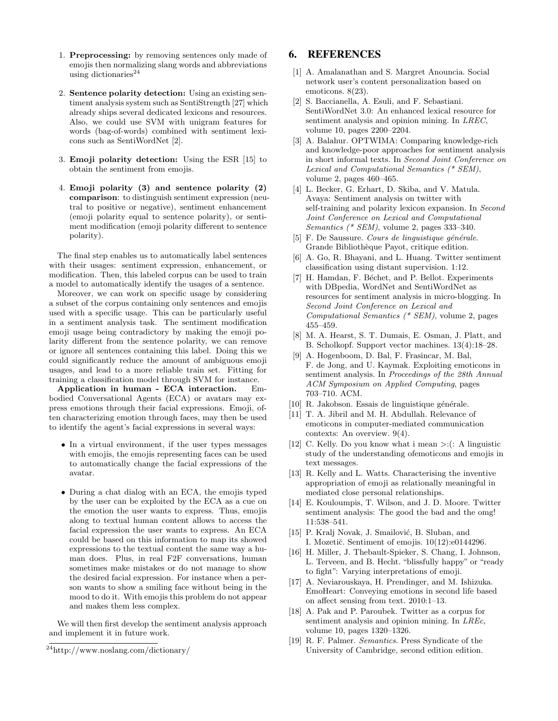- 1. Preprocessing: by removing sentences only made of emojis then normalizing slang words and abbreviations using dictionaries $^{24}$
- 2. Sentence polarity detection: Using an existing sentiment analysis system such as SentiStrength [27] which already ships several dedicated lexicons and resources. Also, we could use SVM with unigram features for words (bag-of-words) combined with sentiment lexicons such as SentiWordNet [2].
- 3. Emoji polarity detection: Using the ESR [15] to obtain the sentiment from emojis.
- 4. Emoji polarity (3) and sentence polarity (2) comparison: to distinguish sentiment expression (neutral to positive or negative), sentiment enhancement (emoji polarity equal to sentence polarity), or sentiment modification (emoji polarity different to sentence polarity).

The final step enables us to automatically label sentences with their usages: sentiment expression, enhancement, or modification. Then, this labeled corpus can be used to train a model to automatically identify the usages of a sentence.

Moreover, we can work on specific usage by considering a subset of the corpus containing only sentences and emojis used with a specific usage. This can be particularly useful in a sentiment analysis task. The sentiment modification emoji usage being contradictory by making the emoji polarity different from the sentence polarity, we can remove or ignore all sentences containing this label. Doing this we could significantly reduce the amount of ambiguous emoji usages, and lead to a more reliable train set. Fitting for training a classification model through SVM for instance.

Application in human - ECA interaction. Embodied Conversational Agents (ECA) or avatars may express emotions through their facial expressions. Emoji, often characterizing emotion through faces, may then be used to identify the agent's facial expressions in several ways:

- In a virtual environment, if the user types messages with emojis, the emojis representing faces can be used to automatically change the facial expressions of the avatar.
- During a chat dialog with an ECA, the emojis typed by the user can be exploited by the ECA as a cue on the emotion the user wants to express. Thus, emojis along to textual human content allows to access the facial expression the user wants to express. An ECA could be based on this information to map its showed expressions to the textual content the same way a human does. Plus, in real F2F conversations, human sometimes make mistakes or do not manage to show the desired facial expression. For instance when a person wants to show a smiling face without being in the mood to do it. With emojis this problem do not appear and makes them less complex.

We will then first develop the sentiment analysis approach and implement it in future work.

## 6. REFERENCES

- [1] A. Amalanathan and S. Margret Anouncia. Social network user's content personalization based on emoticons. 8(23).
- [2] S. Baccianella, A. Esuli, and F. Sebastiani. SentiWordNet 3.0: An enhanced lexical resource for sentiment analysis and opinion mining. In LREC, volume 10, pages 2200–2204.
- [3] A. Balahur. OPTWIMA: Comparing knowledge-rich and knowledge-poor approaches for sentiment analysis in short informal texts. In Second Joint Conference on Lexical and Computational Semantics (\* SEM), volume 2, pages 460–465.
- [4] L. Becker, G. Erhart, D. Skiba, and V. Matula. Avaya: Sentiment analysis on twitter with self-training and polarity lexicon expansion. In Second Joint Conference on Lexical and Computational Semantics (\* SEM), volume 2, pages  $333-340$ .
- [5] F. De Saussure. Cours de linguistique générale. Grande Bibliothèque Payot, critique edition.
- [6] A. Go, R. Bhayani, and L. Huang. Twitter sentiment classification using distant supervision. 1:12.
- [7] H. Hamdan, F. Béchet, and P. Bellot. Experiments with DBpedia, WordNet and SentiWordNet as resources for sentiment analysis in micro-blogging. In Second Joint Conference on Lexical and Computational Semantics (\* SEM), volume 2, pages 455–459.
- [8] M. A. Hearst, S. T. Dumais, E. Osman, J. Platt, and B. Scholkopf. Support vector machines. 13(4):18–28.
- [9] A. Hogenboom, D. Bal, F. Frasincar, M. Bal, F. de Jong, and U. Kaymak. Exploiting emoticons in sentiment analysis. In Proceedings of the 28th Annual ACM Symposium on Applied Computing, pages 703–710. ACM.
- $[10]$  R. Jakobson. Essais de linguistique générale.
- [11] T. A. Jibril and M. H. Abdullah. Relevance of emoticons in computer-mediated communication contexts: An overview. 9(4).
- [12] C. Kelly. Do you know what i mean  $\geq$ : (: A linguistic study of the understanding ofemoticons and emojis in text messages.
- [13] R. Kelly and L. Watts. Characterising the inventive appropriation of emoji as relationally meaningful in mediated close personal relationships.
- [14] E. Kouloumpis, T. Wilson, and J. D. Moore. Twitter sentiment analysis: The good the bad and the omg! 11:538–541.
- [15] P. Kralj Novak, J. Smailović, B. Sluban, and I. Mozetič. Sentiment of emojis.  $10(12):e0144296$ .
- [16] H. Miller, J. Thebault-Spieker, S. Chang, I. Johnson, L. Terveen, and B. Hecht. "blissfully happy" or "ready to fight": Varying interpretations of emoji.
- [17] A. Neviarouskaya, H. Prendinger, and M. Ishizuka. EmoHeart: Conveying emotions in second life based on affect sensing from text. 2010:1–13.
- [18] A. Pak and P. Paroubek. Twitter as a corpus for sentiment analysis and opinion mining. In *LREc*, volume 10, pages 1320–1326.
- [19] R. F. Palmer. Semantics. Press Syndicate of the University of Cambridge, second edition edition.

<sup>24</sup>http://www.noslang.com/dictionary/